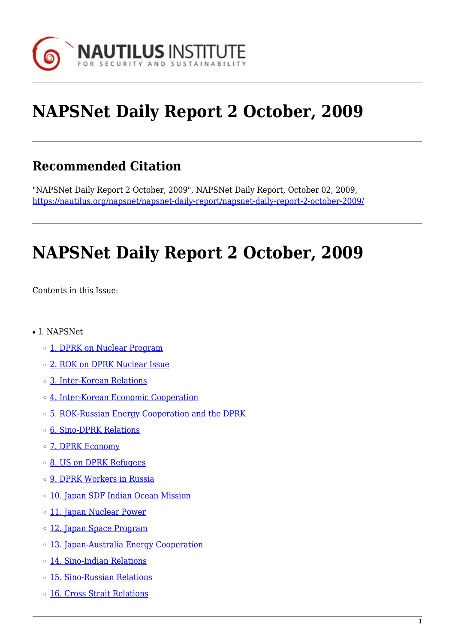

# **NAPSNet Daily Report 2 October, 2009**

## **Recommended Citation**

"NAPSNet Daily Report 2 October, 2009", NAPSNet Daily Report, October 02, 2009, <https://nautilus.org/napsnet/napsnet-daily-report/napsnet-daily-report-2-october-2009/>

# **NAPSNet Daily Report 2 October, 2009**

<span id="page-0-0"></span>Contents in this Issue:

- I. NAPSNet
	- ❍ [1. DPRK on Nuclear Program](#page-1-0)
	- ❍ [2. ROK on DPRK Nuclear Issue](#page-1-1)
	- ❍ [3. Inter-Korean Relations](#page-1-2)
	- ❍ [4. Inter-Korean Economic Cooperation](#page-1-3)
	- ❍ [5. ROK-Russian Energy Cooperation and the DPRK](#page-2-0)
	- ❍ [6. Sino-DPRK Relations](#page-2-1)
	- o **[7. DPRK Economy](#page-2-2)**
	- ❍ [8. US on DPRK Refugees](#page-2-3)
	- ❍ [9. DPRK Workers in Russia](#page-3-0)
	- o [10. Japan SDF Indian Ocean Mission](#page-3-1)
	- o [11. Japan Nuclear Power](#page-3-2)
	- ❍ [12. Japan Space Program](#page-3-3)
	- o [13. Japan-Australia Energy Cooperation](#page-4-0)
	- ❍ [14. Sino-Indian Relations](#page-4-1)
	- ❍ [15. Sino-Russian Relations](#page-4-2)
	- ❍ [16. Cross Strait Relations](#page-4-3)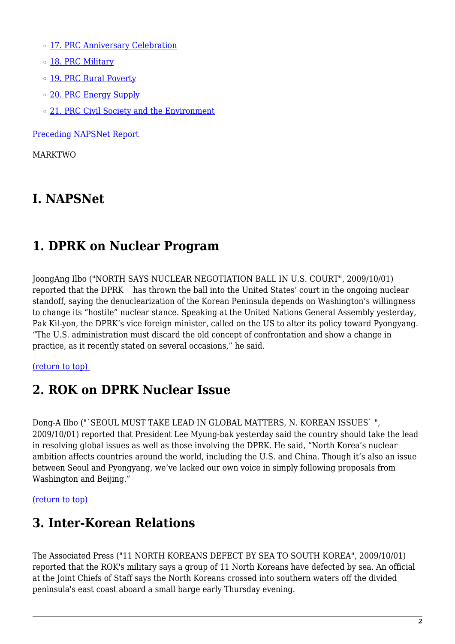- o [17. PRC Anniversary Celebration](#page-5-0)
- o [18. PRC Military](#page-5-1)
- o [19. PRC Rural Poverty](#page-5-2)
- o [20. PRC Energy Supply](#page-6-0)
- o [21. PRC Civil Society and the Environment](#page-6-1)

[Preceding NAPSNet Report](https://nautilus.org/mailing-lists/napsnet/dr/2009-2/napsnet-daily-report-1-october-2009/)

MARKTWO

## **I. NAPSNet**

## <span id="page-1-0"></span>**1. DPRK on Nuclear Program**

JoongAng Ilbo ("NORTH SAYS NUCLEAR NEGOTIATION BALL IN U.S. COURT", 2009/10/01) reported that the DPRK has thrown the ball into the United States' court in the ongoing nuclear standoff, saying the denuclearization of the Korean Peninsula depends on Washington's willingness to change its "hostile" nuclear stance. Speaking at the United Nations General Assembly yesterday, Pak Kil-yon, the DPRK's vice foreign minister, called on the US to alter its policy toward Pyongyang. "The U.S. administration must discard the old concept of confrontation and show a change in practice, as it recently stated on several occasions," he said.

### <span id="page-1-1"></span>[\(return to top\)](#page-0-0)

## **2. ROK on DPRK Nuclear Issue**

Dong-A Ilbo ("`SEOUL MUST TAKE LEAD IN GLOBAL MATTERS, N. KOREAN ISSUES` ", 2009/10/01) reported that President Lee Myung-bak yesterday said the country should take the lead in resolving global issues as well as those involving the DPRK. He said, "North Korea's nuclear ambition affects countries around the world, including the U.S. and China. Though it's also an issue between Seoul and Pyongyang, we've lacked our own voice in simply following proposals from Washington and Beijing."

### <span id="page-1-2"></span>[\(return to top\)](#page-0-0)

## **3. Inter-Korean Relations**

<span id="page-1-3"></span>The Associated Press ("11 NORTH KOREANS DEFECT BY SEA TO SOUTH KOREA", 2009/10/01) reported that the ROK's military says a group of 11 North Koreans have defected by sea. An official at the Joint Chiefs of Staff says the North Koreans crossed into southern waters off the divided peninsula's east coast aboard a small barge early Thursday evening.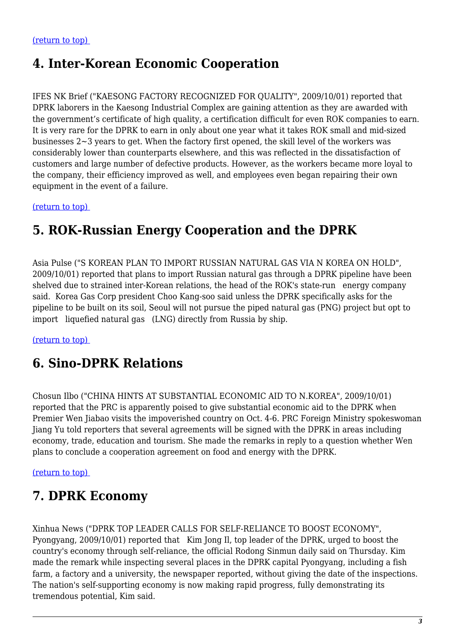## **4. Inter-Korean Economic Cooperation**

IFES NK Brief ("KAESONG FACTORY RECOGNIZED FOR QUALITY", 2009/10/01) reported that DPRK laborers in the Kaesong Industrial Complex are gaining attention as they are awarded with the government's certificate of high quality, a certification difficult for even ROK companies to earn. It is very rare for the DPRK to earn in only about one year what it takes ROK small and mid-sized businesses 2~3 years to get. When the factory first opened, the skill level of the workers was considerably lower than counterparts elsewhere, and this was reflected in the dissatisfaction of customers and large number of defective products. However, as the workers became more loyal to the company, their efficiency improved as well, and employees even began repairing their own equipment in the event of a failure.

<span id="page-2-0"></span>[\(return to top\)](#page-0-0) 

## **5. ROK-Russian Energy Cooperation and the DPRK**

Asia Pulse ("S KOREAN PLAN TO IMPORT RUSSIAN NATURAL GAS VIA N KOREA ON HOLD", 2009/10/01) reported that plans to import Russian natural gas through a DPRK pipeline have been shelved due to strained inter-Korean relations, the head of the ROK's state-run energy company said. Korea Gas Corp president Choo Kang-soo said unless the DPRK specifically asks for the pipeline to be built on its soil, Seoul will not pursue the piped natural gas (PNG) project but opt to import liquefied natural gas (LNG) directly from Russia by ship.

<span id="page-2-1"></span>[\(return to top\)](#page-0-0) 

## **6. Sino-DPRK Relations**

Chosun Ilbo ("CHINA HINTS AT SUBSTANTIAL ECONOMIC AID TO N.KOREA", 2009/10/01) reported that the PRC is apparently poised to give substantial economic aid to the DPRK when Premier Wen Jiabao visits the impoverished country on Oct. 4-6. PRC Foreign Ministry spokeswoman Jiang Yu told reporters that several agreements will be signed with the DPRK in areas including economy, trade, education and tourism. She made the remarks in reply to a question whether Wen plans to conclude a cooperation agreement on food and energy with the DPRK.

<span id="page-2-2"></span>[\(return to top\)](#page-0-0) 

## **7. DPRK Economy**

<span id="page-2-3"></span>Xinhua News ("DPRK TOP LEADER CALLS FOR SELF-RELIANCE TO BOOST ECONOMY", Pyongyang, 2009/10/01) reported that Kim Jong Il, top leader of the DPRK, urged to boost the country's economy through self-reliance, the official Rodong Sinmun daily said on Thursday. Kim made the remark while inspecting several places in the DPRK capital Pyongyang, including a fish farm, a factory and a university, the newspaper reported, without giving the date of the inspections. The nation's self-supporting economy is now making rapid progress, fully demonstrating its tremendous potential, Kim said.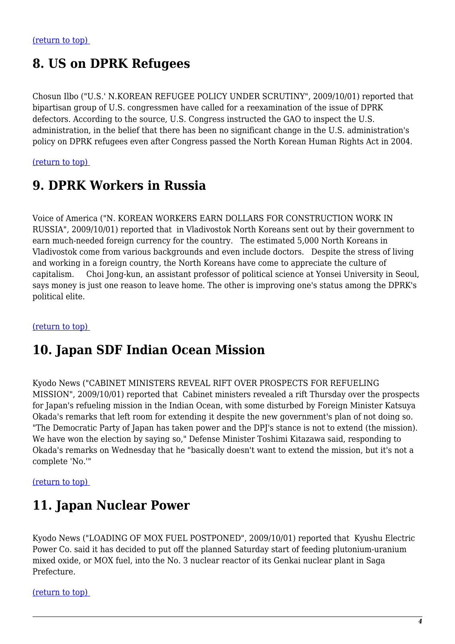## **8. US on DPRK Refugees**

Chosun Ilbo ("U.S.' N.KOREAN REFUGEE POLICY UNDER SCRUTINY", 2009/10/01) reported that bipartisan group of U.S. congressmen have called for a reexamination of the issue of DPRK defectors. According to the source, U.S. Congress instructed the GAO to inspect the U.S. administration, in the belief that there has been no significant change in the U.S. administration's policy on DPRK refugees even after Congress passed the North Korean Human Rights Act in 2004.

<span id="page-3-0"></span>[\(return to top\)](#page-0-0) 

## **9. DPRK Workers in Russia**

Voice of America ("N. KOREAN WORKERS EARN DOLLARS FOR CONSTRUCTION WORK IN RUSSIA", 2009/10/01) reported that in Vladivostok North Koreans sent out by their government to earn much-needed foreign currency for the country. The estimated 5,000 North Koreans in Vladivostok come from various backgrounds and even include doctors. Despite the stress of living and working in a foreign country, the North Koreans have come to appreciate the culture of capitalism. Choi Jong-kun, an assistant professor of political science at Yonsei University in Seoul, says money is just one reason to leave home. The other is improving one's status among the DPRK's political elite.

### <span id="page-3-1"></span>[\(return to top\)](#page-0-0)

## **10. Japan SDF Indian Ocean Mission**

Kyodo News ("CABINET MINISTERS REVEAL RIFT OVER PROSPECTS FOR REFUELING MISSION", 2009/10/01) reported that Cabinet ministers revealed a rift Thursday over the prospects for Japan's refueling mission in the Indian Ocean, with some disturbed by Foreign Minister Katsuya Okada's remarks that left room for extending it despite the new government's plan of not doing so. "The Democratic Party of Japan has taken power and the DPJ's stance is not to extend (the mission). We have won the election by saying so," Defense Minister Toshimi Kitazawa said, responding to Okada's remarks on Wednesday that he "basically doesn't want to extend the mission, but it's not a complete 'No.'"

<span id="page-3-2"></span>[\(return to top\)](#page-0-0) 

## **11. Japan Nuclear Power**

Kyodo News ("LOADING OF MOX FUEL POSTPONED", 2009/10/01) reported that Kyushu Electric Power Co. said it has decided to put off the planned Saturday start of feeding plutonium-uranium mixed oxide, or MOX fuel, into the No. 3 nuclear reactor of its Genkai nuclear plant in Saga Prefecture.

<span id="page-3-3"></span>[\(return to top\)](#page-0-0)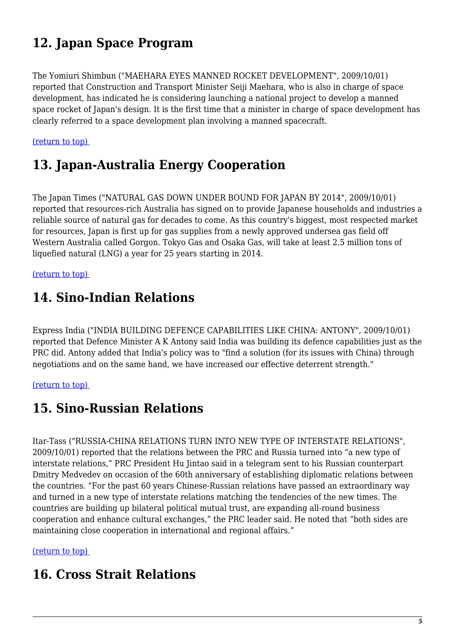## **12. Japan Space Program**

The Yomiuri Shimbun ("MAEHARA EYES MANNED ROCKET DEVELOPMENT", 2009/10/01) reported that Construction and Transport Minister Seiji Maehara, who is also in charge of space development, has indicated he is considering launching a national project to develop a manned space rocket of Japan's design. It is the first time that a minister in charge of space development has clearly referred to a space development plan involving a manned spacecraft.

#### <span id="page-4-0"></span>[\(return to top\)](#page-0-0)

## **13. Japan-Australia Energy Cooperation**

The Japan Times ("NATURAL GAS DOWN UNDER BOUND FOR JAPAN BY 2014", 2009/10/01) reported that resources-rich Australia has signed on to provide Japanese households and industries a reliable source of natural gas for decades to come. As this country's biggest, most respected market for resources, Japan is first up for gas supplies from a newly approved undersea gas field off Western Australia called Gorgon. Tokyo Gas and Osaka Gas, will take at least 2.5 million tons of liquefied natural (LNG) a year for 25 years starting in 2014.

#### <span id="page-4-1"></span>[\(return to top\)](#page-0-0)

### **14. Sino-Indian Relations**

Express India ("INDIA BUILDING DEFENCE CAPABILITIES LIKE CHINA: ANTONY", 2009/10/01) reported that Defence Minister A K Antony said India was building its defence capabilities just as the PRC did. Antony added that India's policy was to "find a solution (for its issues with China) through negotiations and on the same hand, we have increased our effective deterrent strength."

#### <span id="page-4-2"></span>[\(return to top\)](#page-0-0)

## **15. Sino-Russian Relations**

Itar-Tass ("RUSSIA-CHINA RELATIONS TURN INTO NEW TYPE OF INTERSTATE RELATIONS", 2009/10/01) reported that the relations between the PRC and Russia turned into "a new type of interstate relations," PRC President Hu Jintao said in a telegram sent to his Russian counterpart Dmitry Medvedev on occasion of the 60th anniversary of establishing diplomatic relations between the countries. "For the past 60 years Chinese-Russian relations have passed an extraordinary way and turned in a new type of interstate relations matching the tendencies of the new times. The countries are building up bilateral political mutual trust, are expanding all-round business cooperation and enhance cultural exchanges," the PRC leader said. He noted that "both sides are maintaining close cooperation in international and regional affairs."

#### <span id="page-4-3"></span>[\(return to top\)](#page-0-0)

## **16. Cross Strait Relations**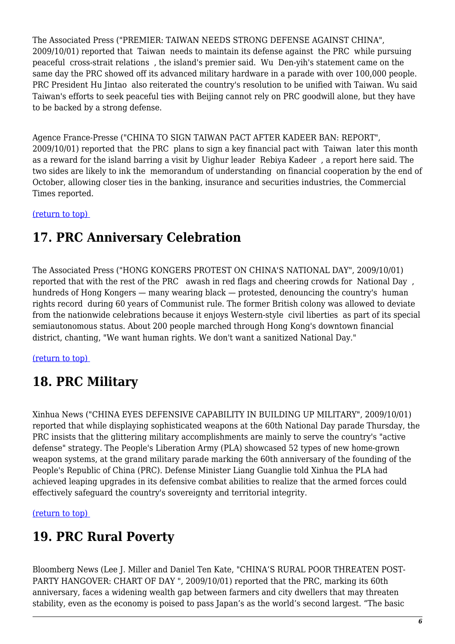The Associated Press ("PREMIER: TAIWAN NEEDS STRONG DEFENSE AGAINST CHINA", 2009/10/01) reported that Taiwan needs to maintain its defense against the PRC while pursuing peaceful cross-strait relations , the island's premier said. Wu Den-yih's statement came on the same day the PRC showed off its advanced military hardware in a parade with over 100,000 people. PRC President Hu Jintao also reiterated the country's resolution to be unified with Taiwan. Wu said Taiwan's efforts to seek peaceful ties with Beijing cannot rely on PRC goodwill alone, but they have to be backed by a strong defense.

Agence France-Presse ("CHINA TO SIGN TAIWAN PACT AFTER KADEER BAN: REPORT", 2009/10/01) reported that the PRC plans to sign a key financial pact with Taiwan later this month as a reward for the island barring a visit by Uighur leader Rebiya Kadeer , a report here said. The two sides are likely to ink the memorandum of understanding on financial cooperation by the end of October, allowing closer ties in the banking, insurance and securities industries, the Commercial Times reported.

<span id="page-5-0"></span>[\(return to top\)](#page-0-0) 

## **17. PRC Anniversary Celebration**

The Associated Press ("HONG KONGERS PROTEST ON CHINA'S NATIONAL DAY", 2009/10/01) reported that with the rest of the PRC awash in red flags and cheering crowds for National Day , hundreds of Hong Kongers — many wearing black — protested, denouncing the country's human rights record during 60 years of Communist rule. The former British colony was allowed to deviate from the nationwide celebrations because it enjoys Western-style civil liberties as part of its special semiautonomous status. About 200 people marched through Hong Kong's downtown financial district, chanting, "We want human rights. We don't want a sanitized National Day."

<span id="page-5-1"></span>[\(return to top\)](#page-0-0) 

## **18. PRC Military**

Xinhua News ("CHINA EYES DEFENSIVE CAPABILITY IN BUILDING UP MILITARY", 2009/10/01) reported that while displaying sophisticated weapons at the 60th National Day parade Thursday, the PRC insists that the glittering military accomplishments are mainly to serve the country's "active defense" strategy. The People's Liberation Army (PLA) showcased 52 types of new home-grown weapon systems, at the grand military parade marking the 60th anniversary of the founding of the People's Republic of China (PRC). Defense Minister Liang Guanglie told Xinhua the PLA had achieved leaping upgrades in its defensive combat abilities to realize that the armed forces could effectively safeguard the country's sovereignty and territorial integrity.

<span id="page-5-2"></span>[\(return to top\)](#page-0-0) 

## **19. PRC Rural Poverty**

Bloomberg News (Lee J. Miller and Daniel Ten Kate, "CHINA'S RURAL POOR THREATEN POST-PARTY HANGOVER: CHART OF DAY ", 2009/10/01) reported that the PRC, marking its 60th anniversary, faces a widening wealth gap between farmers and city dwellers that may threaten stability, even as the economy is poised to pass Japan's as the world's second largest. "The basic